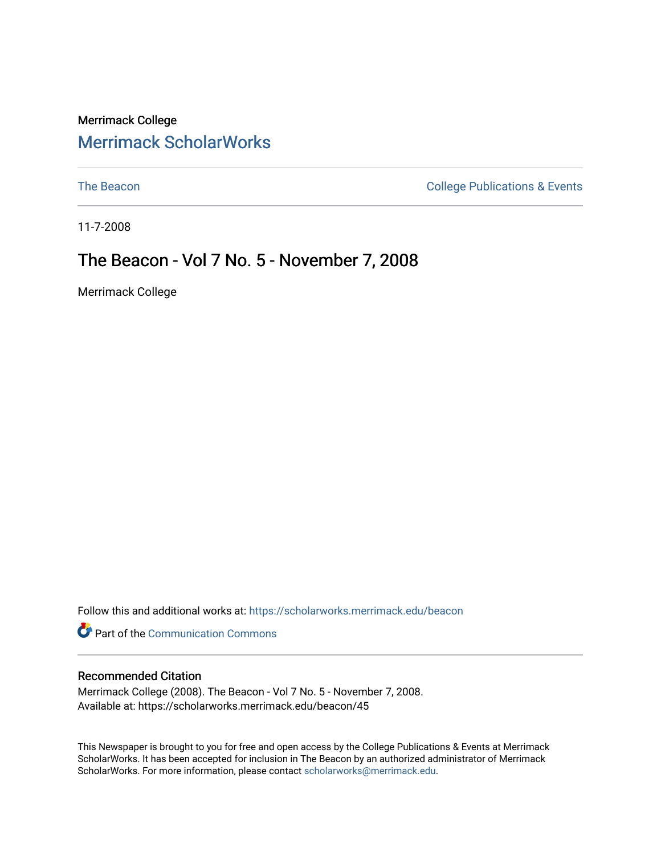## Merrimack College [Merrimack ScholarWorks](https://scholarworks.merrimack.edu/)

[The Beacon](https://scholarworks.merrimack.edu/beacon) **College Publications & Events** 

11-7-2008

## The Beacon - Vol 7 No. 5 - November 7, 2008

Merrimack College

Follow this and additional works at: [https://scholarworks.merrimack.edu/beacon](https://scholarworks.merrimack.edu/beacon?utm_source=scholarworks.merrimack.edu%2Fbeacon%2F45&utm_medium=PDF&utm_campaign=PDFCoverPages)

Part of the [Communication Commons](http://network.bepress.com/hgg/discipline/325?utm_source=scholarworks.merrimack.edu%2Fbeacon%2F45&utm_medium=PDF&utm_campaign=PDFCoverPages) 

### Recommended Citation

Merrimack College (2008). The Beacon - Vol 7 No. 5 - November 7, 2008. Available at: https://scholarworks.merrimack.edu/beacon/45

This Newspaper is brought to you for free and open access by the College Publications & Events at Merrimack ScholarWorks. It has been accepted for inclusion in The Beacon by an authorized administrator of Merrimack ScholarWorks. For more information, please contact [scholarworks@merrimack.edu.](mailto:scholarworks@merrimack.edu)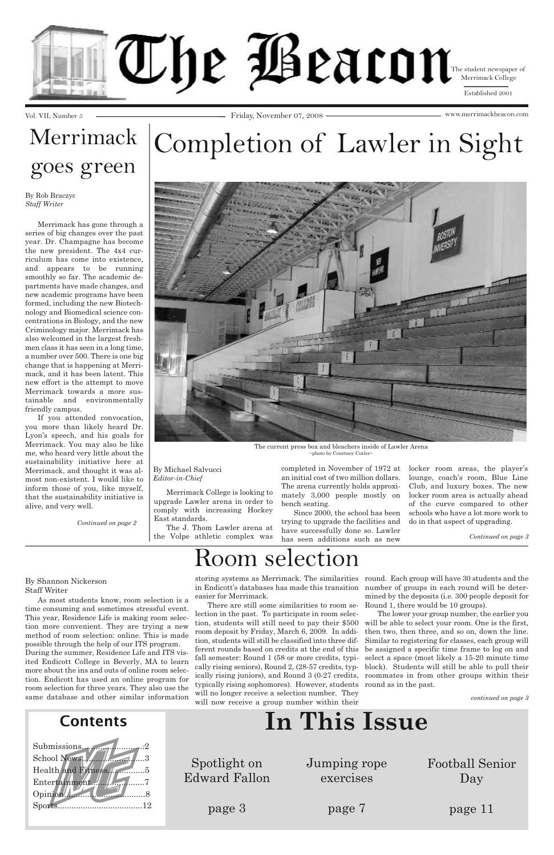Vol. VII, Number 5 Friday, November 07, 2008 www.merrimackbeacon.com



| <b>Contents</b>                                | In This Issue                        |                           |                               |
|------------------------------------------------|--------------------------------------|---------------------------|-------------------------------|
| School News.<br>Health and Fitness.<br>Opinion | Spotlight on<br><b>Edward Fallon</b> | Jumping rope<br>exercises | <b>Football Senior</b><br>Day |
|                                                | page 3                               | page 7                    | page 11                       |

As most students know, room selection is a time consuming and sometimes stressful event. This year, Residence Life is making room selection more convenient. They are trying a new method of room selection: online. This is made possible through the help of our ITS program. During the summer, Residence Life and ITS visited Endicott College in Beverly, MA to learn more about the ins and outs of online room selection. Endicott has used an online program for room selection for three years. They also use the same database and other similar information

in Endicott's databases has made this transition number of groups in each round will be detereasier for Merrimack.

There are still some similarities to room selection in the past. To participate in room selecroom deposit by Friday, March 6, 2009. In addition, students will still be classified into three different rounds based on credits at the end of this fall semester: Round 1 (58 or more credits, typically rising seniors), Round 2, (28-57 credits, typtypically rising sophomores). However, students round as in the past. will no longer receive a selection number. They will now receive a group number within their

storing systems as Merrimack. The similarities round. Each group will have 30 students and the mined by the deposits (i.e. 300 people deposit for Round 1, there would be 10 groups).

tion, students will still need to pay their \$500 will be able to select your room. One is the first, ically rising juniors), and Round 3 (0-27 credits, roommates in from other groups within their The lower your group number, the earlier you then two, then three, and so on, down the line. Similar to registering for classes, each group will be assigned a specific time frame to log on and select a space (most likely a 15-20 minute time block). Students will still be able to pull their

## Room selection

By Shannon Nickerson Staff Writer

*continued on page 3*

# Completion of Lawler in Sight

Merrimack College is looking to upgrade Lawler arena in order to comply with increasing Hockey East standards.

The J. Thom Lawler arena at the Volpe athletic complex was

completed in November of 1972 at an initial cost of two million dollars. The arena currently holds approximately 3,000 people mostly on bench seating.

Since 2000, the school has been trying to upgrade the facilities and have successfully done so. Lawler has seen additions such as new

locker room areas, the player's lounge, coach's room, Blue Line Club, and luxury boxes. The new locker room area is actually ahead of the curve compared to other schools who have a lot more work to do in that aspect of upgrading.

# Merrimack goes green

Merrimack has gone through a series of big changes over the past year. Dr. Champagne has become the new president. The 4x4 curriculum has come into existence, and appears to be running smoothly so far. The academic departments have made changes, and new academic programs have been formed, including the new Biotechnology and Biomedical science concentrations in Biology, and the new Criminology major. Merrimack has also welcomed in the largest freshmen class it has seen in a long time, a number over 500. There is one big change that is happening at Merrimack, and it has been latent. This new effort is the attempt to move Merrimack towards a more sustainable and environmentally friendly campus.

If you attended convocation, you more than likely heard Dr. Lyon's speech, and his goals for Merrimack. You may also be like me, who heard very little about the sustainability initiative here at Merrimack, and thought it was almost non-existent. I would like to inform those of you, like myself, that the sustainability initiative is alive, and very well.



The current press box and bleachers inside of Lawler Arena ~photo by Courtney Cutler~

### By Michael Salvucci *Editor-in-Chief*

*Continued on page 3*

### By Rob Braczyc *Staff Writer*

*Continued on page 2*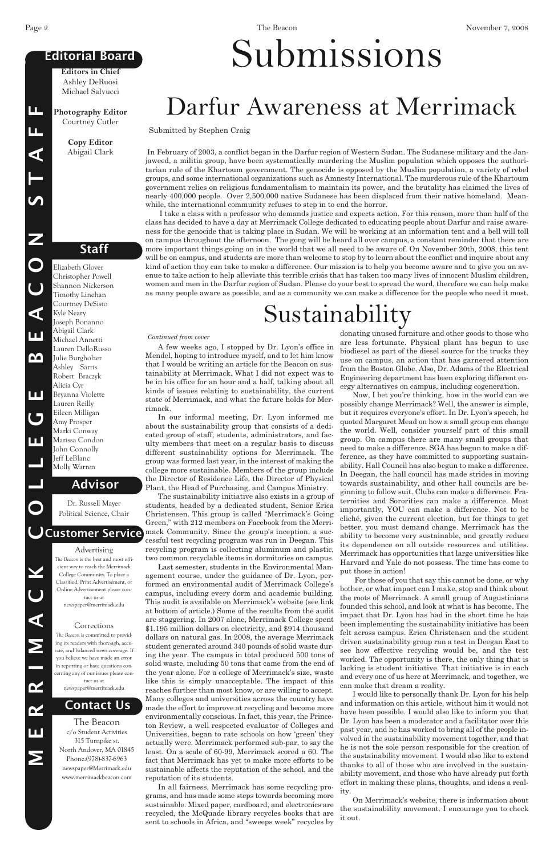Elizabeth Glover Christopher Powell Shannon Nickerson Timothy Linehan Courtney DeSisto Kyle Neary Joseph Bonanno Abigail Clark Michael Annetti Lauren DelloRusso Julie Burgholzer Ashley Sarris Robert Braczyk Alicia Cyr Bryanna Violette Lauren Reilly Eileen Milligan Amy Prosper Marki Conway Marissa Condon John Connolly Jeff LeBlanc Molly Warren

**M**

**E**

**R**

**R I M**

**A**

**C**

**K**

**O**

**L**

**L**

**E**

**G**

**E**

**B**

**E**

**A**

**C**

**O**

**N**

**S** 

**T**

**A**

**F**

**F**

## **Editorial Board**

## **Staff**

## **Advisor**

**Contact Us**

**Editors in Chief** Ashley DeRuosi Michael Salvucci

**Photography Editor** Courtney Cutler

> **Copy Editor** Abigail Clark

The Beacon c/o Student Activities 315 Turnpike st. North Andover, MA 01845 Phone:(978)-837-6963 newspaper@Merrimack.edu www.merrimackbeacon.com

### Advertising

## **CCustomer Service**

*The Beacon* is the best and most efficient way to reach the Merrimack College Community. To place a Classified, Print Advertisement, or Online Advertisement please contact us at newspaper@merrimack.edu

**Corrections** 

*The Beacon* is committed to providing its readers with thorough, accurate, and balanced news coverage. If you believe we have made an error in reporting or have questions concerning any of our issues please contact us at newspaper@merrimack.edu

Dr. Russell Mayer Political Science, Chair

# Submissions

In February of 2003, a conflict began in the Darfur region of Western Sudan. The Sudanese military and the Janjaweed, a militia group, have been systematically murdering the Muslim population which opposes the authoritarian rule of the Khartoum government. The genocide is opposed by the Muslim population, a variety of rebel groups, and some international organizations such as Amnesty International. The murderous rule of the Khartoum government relies on religious fundamentalism to maintain its power, and the brutality has claimed the lives of nearly 400,000 people. Over 2,500,000 native Sudanese has been displaced from their native homeland. Meanwhile, the international community refuses to step in to end the horror.

I take a class with a professor who demands justice and expects action. For this reason, more than half of the class has decided to have a day at Merrimack College dedicated to educating people about Darfur and raise awareness for the genocide that is taking place in Sudan. We will be working at an information tent and a bell will toll on campus throughout the afternoon. The gong will be heard all over campus, a constant reminder that there are more important things going on in the world that we all need to be aware of. On November 20th, 2008, this tent will be on campus, and students are more than welcome to stop by to learn about the conflict and inquire about any kind of action they can take to make a difference. Our mission is to help you become aware and to give you an avenue to take action to help alleviate this terrible crisis that has taken too many lives of innocent Muslim children, women and men in the Darfur region of Sudan. Please do your best to spread the word, therefore we can help make as many people aware as possible, and as a community we can make a difference for the people who need it most.

# Darfur Awareness at Merrimack

Submitted by Stephen Craig

A few weeks ago, I stopped by Dr. Lyon's office in Mendel, hoping to introduce myself, and to let him know that I would be writing an article for the Beacon on sustainability at Merrimack. What I did not expect was to be in his office for an hour and a half, talking about all kinds of issues relating to sustainability, the current state of Merrimack, and what the future holds for Merrimack.

In our informal meeting, Dr. Lyon informed me about the sustainability group that consists of a dedicated group of staff, students, administrators, and faculty members that meet on a regular basis to discuss different sustainability options for Merrimack. The group was formed last year, in the interest of making the college more sustainable. Members of the group include the Director of Residence Life, the Director of Physical Plant, the Head of Purchasing, and Campus Ministry.

The sustainability initiative also exists in a group of students, headed by a dedicated student, Senior Erica Christensen. This group is called "Merrimack's Going Green," with 212 members on Facebook from the Merrimack Community. Since the group's inception, a successful test recycling program was run in Deegan. This recycling program is collecting aluminum and plastic, two common recyclable items in dormitories on campus.

Last semester, students in the Environmental Management course, under the guidance of Dr. Lyon, performed an environmental audit of Merrimack College's campus, including every dorm and academic building. This audit is available on Merrimack's website (see link at bottom of article.) Some of the results from the audit are staggering. In 2007 alone, Merrimack College spent \$1.195 million dollars on electricity, and \$914 thousand dollars on natural gas. In 2008, the average Merrimack student generated around 340 pounds of solid waste during the year. The campus in total produced 500 tons of solid waste, including 50 tons that came from the end of the year alone. For a college of Merrimack's size, waste like this is simply unacceptable. The impact of this reaches further than most know, or are willing to accept. Many colleges and universities across the country have made the effort to improve at recycling and become more environmentally conscious. In fact, this year, the Princeton Review, a well respected evaluator of Colleges and Universities, began to rate schools on how 'green' they actually were. Merrimack performed sub-par, to say the least. On a scale of 60-99, Merrimack scored a 60. The fact that Merrimack has yet to make more efforts to be sustainable affects the reputation of the school, and the reputation of its students. In all fairness, Merrimack has some recycling programs, and has made some steps towards becoming more sustainable. Mixed paper, cardboard, and electronics are recycled, the McQuade library recycles books that are sent to schools in Africa, and "sweeps week" recycles by

donating unused furniture and other goods to those who are less fortunate. Physical plant has begun to use biodiesel as part of the diesel source for the trucks they use on campus, an action that has garnered attention from the Boston Globe. Also, Dr. Adams of the Electrical Engineering department has been exploring different energy alternatives on campus, including cogeneration.

Now, I bet you're thinking, how in the world can we possibly change Merrimack? Well, the answer is simple, but it requires everyone's effort. In Dr. Lyon's speech, he quoted Margaret Mead on how a small group can change the world. Well, consider yourself part of this small group. On campus there are many small groups that need to make a difference. SGA has begun to make a difference, as they have committed to supporting sustainability. Hall Council has also begun to make a difference. In Deegan, the hall council has made strides in moving towards sustainability, and other hall councils are beginning to follow suit. Clubs can make a difference. Fraternities and Sororities can make a difference. Most importantly, YOU can make a difference. Not to be cliché, given the current election, but for things to get better, you must demand change. Merrimack has the ability to become very sustainable, and greatly reduce its dependence on all outside resources and utilities. Merrimack has opportunities that large universities like Harvard and Yale do not possess. The time has come to put those in action!

For those of you that say this cannot be done, or why bother, or what impact can I make, stop and think about the roots of Merrimack. A small group of Augustinians founded this school, and look at what is has become. The impact that Dr. Lyon has had in the short time he has been implementing the sustainability initiative has been felt across campus. Erica Christensen and the student driven sustainability group ran a test in Deegan East to see how effective recycling would be, and the test worked. The opportunity is there, the only thing that is lacking is student initiative. That initiative is in each and every one of us here at Merrimack, and together, we can make that dream a reality. I would like to personally thank Dr. Lyon for his help and information on this article, without him it would not have been possible. I would also like to inform you that Dr. Lyon has been a moderator and a facilitator over this past year, and he has worked to bring all of the people involved in the sustainability movement together, and that he is not the sole person responsible for the creation of the sustainability movement. I would also like to extend thanks to all of those who are involved in the sustainability movement, and those who have already put forth effort in making these plans, thoughts, and ideas a reality.

On Merrimack's website, there is information about the sustainability movement. I encourage you to check it out.

# Sustainability

### *Continued from cover*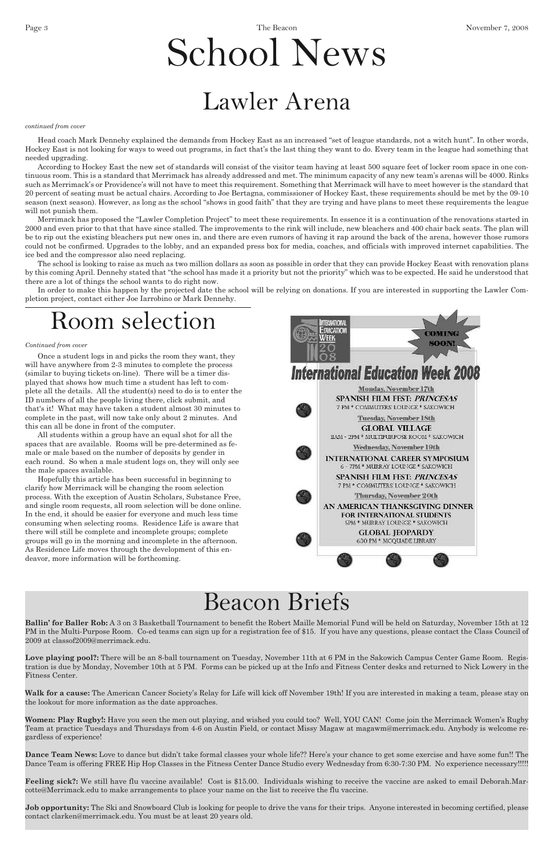# School News

**Ballin' for Baller Rob:** A 3 on 3 Basketball Tournament to benefit the Robert Maille Memorial Fund will be held on Saturday, November 15th at 12

PM in the Multi-Purpose Room. Co-ed teams can sign up for a registration fee of \$15. If you have any questions, please contact the Class Council of 2009 at classof2009@merrimack.edu.

**Love playing pool?:** There will be an 8-ball tournament on Tuesday, November 11th at 6 PM in the Sakowich Campus Center Game Room. Registration is due by Monday, November 10th at 5 PM. Forms can be picked up at the Info and Fitness Center desks and returned to Nick Lowery in the Fitness Center.

**Walk for a cause:** The American Cancer Society's Relay for Life will kick off November 19th! If you are interested in making a team, please stay on the lookout for more information as the date approaches.

**Job opportunity:** The Ski and Snowboard Club is looking for people to drive the vans for their trips. Anyone interested in becoming certified, please contact clarken@merrimack.edu. You must be at least 20 years old.

**Women: Play Rugby!:** Have you seen the men out playing, and wished you could too? Well, YOU CAN! Come join the Merrimack Women's Rugby Team at practice Tuesdays and Thursdays from 4-6 on Austin Field, or contact Missy Magaw at magawm@merrimack.edu. Anybody is welcome regardless of experience!

**Dance Team News:** Love to dance but didn't take formal classes your whole life?? Here's your chance to get some exercise and have some fun!! The Dance Team is offering FREE Hip Hop Classes in the Fitness Center Dance Studio every Wednesday from 6:30-7:30 PM. No experience necessary!!!!!

**Feeling sick?:** We still have flu vaccine available! Cost is \$15.00. Individuals wishing to receive the vaccine are asked to email Deborah.Marcotte@Merrimack.edu to make arrangements to place your name on the list to receive the flu vaccine.

According to Hockey East the new set of standards will consist of the visitor team having at least 500 square feet of locker room space in one continuous room. This is a standard that Merrimack has already addressed and met. The minimum capacity of any new team's arenas will be 4000. Rinks such as Merrimack's or Providence's will not have to meet this requirement. Something that Merrimack will have to meet however is the standard that 20 percent of seating must be actual chairs. According to Joe Bertagna, commissioner of Hockey East, these requirements should be met by the 09-10 season (next season). However, as long as the school "shows in good faith" that they are trying and have plans to meet these requirements the league will not punish them.

## Beacon Briefs

Once a student logs in and picks the room they want, they will have anywhere from 2-3 minutes to complete the process (similar to buying tickets on-line). There will be a timer displayed that shows how much time a student has left to complete all the details. All the student(s) need to do is to enter the ID numbers of all the people living there, click submit, and that's it! What may have taken a student almost 30 minutes to complete in the past, will now take only about 2 minutes. And this can all be done in front of the computer.

All students within a group have an equal shot for all the spaces that are available. Rooms will be pre-determined as female or male based on the number of deposits by gender in each round. So when a male student logs on, they will only see the male spaces available.

Hopefully this article has been successful in beginning to clarify how Merrimack will be changing the room selection process. With the exception of Austin Scholars, Substance Free, and single room requests, all room selection will be done online. In the end, it should be easier for everyone and much less time consuming when selecting rooms. Residence Life is aware that there will still be complete and incomplete groups; complete groups will go in the morning and incomplete in the afternoon. As Residence Life moves through the development of this endeavor, more information will be forthcoming.



## Room selection

### *Continued from cover*

Head coach Mark Dennehy explained the demands from Hockey East as an increased "set of league standards, not a witch hunt". In other words, Hockey East is not looking for ways to weed out programs, in fact that's the last thing they want to do. Every team in the league had something that needed upgrading.

Merrimack has proposed the "Lawler Completion Project" to meet these requirements. In essence it is a continuation of the renovations started in 2000 and even prior to that that have since stalled. The improvements to the rink will include, new bleachers and 400 chair back seats. The plan will be to rip out the existing bleachers put new ones in, and there are even rumors of having it rap around the back of the arena, however those rumors could not be confirmed. Upgrades to the lobby, and an expanded press box for media, coaches, and officials with improved internet capabilities. The ice bed and the compressor also need replacing.

The school is looking to raise as much as two million dollars as soon as possible in order that they can provide Hockey Eeast with renovation plans by this coming April. Dennehy stated that "the school has made it a priority but not the priority" which was to be expected. He said he understood that there are a lot of things the school wants to do right now.

In order to make this happen by the projected date the school will be relying on donations. If you are interested in supporting the Lawler Completion project, contact either Joe Iarrobino or Mark Dennehy.

## Lawler Arena

#### *continued from cover*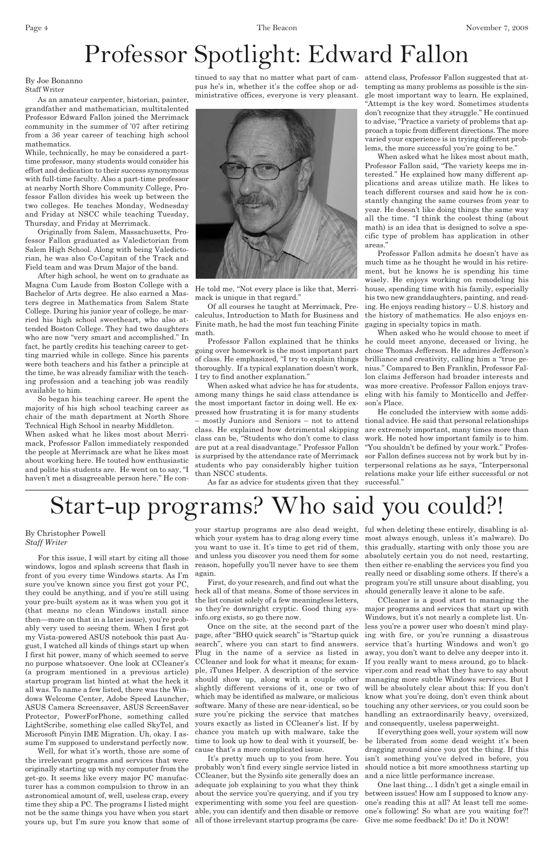For this issue, I will start by citing all those windows, logos and splash screens that flash in front of you every time Windows starts. As I'm sure you've known since you first got your PC, they could be anything, and if you're still using your pre-built system as it was when you got it (that means no clean Windows install since then—more on that in a later issue), you're probably very used to seeing them. When I first got my Vista-powered ASUS notebook this past August, I watched all kinds of things start up when I first hit power, many of which seemed to serve no purpose whatsoever. One look at CCleaner's (a program mentioned in a previous article) startup program list hinted at what the heck it all was. To name a few listed, there was the Windows Welcome Center, Adobe Speed Launcher, ASUS Camera Screensaver, ASUS ScreenSaver Protector, PowerForPhone, something called LightScribe, something else called SkyTel, and Microsoft Pinyin IME Migration. Uh, okay. I assume I'm supposed to understand perfectly now. Well, for what it's worth, those are some of the irrelevant programs and services that were originally starting up with my computer from the get-go. It seems like every major PC manufacturer has a common compulsion to throw in an astronomical amount of, well, useless crap, every time they ship a PC. The programs I listed might not be the same things you have when you start yours up, but I'm sure you know that some of

your startup programs are also dead weight, ful when deleting these entirely, disabling is alwhich your system has to drag along every time most always enough, unless it's malware). Do you want to use it. It's time to get rid of them, this gradually, starting with only those you are and unless you discover you need them for some absolutely certain you do not need, restarting, reason, hopefully you'll never have to see them again.

First, do your research, and find out what the heck all of that means. Some of those services in the list consist solely of a few meaningless letters, so they're downright cryptic. Good thing sysinfo.org exists, so go there now.

Once on the site, at the second part of the

CCleaner and look for what it means; for example, iTunes Helper. A description of the service should show up, along with a couple other yours exactly as listed in CCleaner's list. If by chance you match up with malware, take the time to look up how to deal with it yourself, because that's a more complicated issue.

It's pretty much up to you from here. You probably won't find every single service listed in CCleaner, but the Sysinfo site generally does an adequate job explaining to you what they think about the service you're querying, and if you try experimenting with some you feel are questionable, you can identify and then disable or remove all of those irrelevant startup programs (be care-

page, after "BHO quick search" is "Startup quick ing with fire, or you're running a disastrous search", where you can start to find answers. service that's hurting Windows and won't go Plug in the name of a service as listed in away, you don't want to delve any deeper into it. slightly different versions of it, one or two of will be absolutely clear about this: If you don't which may be identified as malware, or malicious know what you're doing, don't even think about software. Many of these are near-identical, so be touching any other services, or you could soon be sure you're picking the service that matches handling an extraordinarily heavy, oversized, CCleaner is a good start to managing the major programs and services that start up with Windows, but it's not nearly a complete list. Unless you're a power user who doesn't mind play-If you really want to mess around, go to blackviper.com and read what they have to say about managing more subtle Windows services. But I and consequently, useless paperweight. If everything goes well, your system will now be liberated from some dead weight it's been dragging around since you got the thing. If this isn't something you've delved in before, you should notice a bit more smoothness starting up and a nice little performance increase. One last thing… I didn't get a single email in between issues! How am I supposed to know anyone's reading this at all? At least tell me someone's following! So what are you waiting for?! Give me some feedback! Do it! Do it NOW!

then either re-enabling the services you find you really need or disabling some others. If there's a program you're still unsure about disabling, you should generally leave it alone to be safe.

# Start-up programs? Who said you could?!

### By Christopher Powell *Staff Writer*

As an amateur carpenter, historian, painter, grandfather and mathematician, multitalented Professor Edward Fallon joined the Merrimack community in the summer of '07 after retiring from a 36 year career of teaching high school mathematics.

While, technically, he may be considered a parttime professor, many students would consider his effort and dedication to their success synonymous with full-time faculty. Also a part-time professor at nearby North Shore Community College, Professor Fallon divides his week up between the two colleges. He teaches Monday, Wednesday and Friday at NSCC while teaching Tuesday, Thursday, and Friday at Merrimack.

Originally from Salem, Massachusetts, Professor Fallon graduated as Valedictorian from Salem High School. Along with being Valedictorian, he was also Co-Capitan of the Track and Field team and was Drum Major of the band.

After high school, he went on to graduate as Magna Cum Laude from Boston College with a Bachelor of Arts degree. He also earned a Masters degree in Mathematics from Salem State College. During his junior year of college, he married his high school sweetheart, who also attended Boston College. They had two daughters who are now "very smart and accomplished." In fact, he partly credits his teaching career to getting married while in college. Since his parents were both teachers and his father a principle at the time, he was already familiar with the teaching profession and a teaching job was readily available to him.

So began his teaching career. He spent the majority of his high school teaching career as chair of the math department at North Shore Technical High School in nearby Middleton.

When asked what he likes most about Merrimack, Professor Fallon immediately responded the people at Merrimack are what he likes most about working here. He touted how enthusiastic and polite his students are. He went on to say, "I haven't met a disagreeable person here." He conministrative offices, everyone is very pleasant.



He told me, "Not every place is like that, Merrimack is unique in that regard."

Of all courses he taught at Merrimack, Precalculus, Introduction to Math for Business and Finite math, he had the most fun teaching Finite math.

going over homework is the most important part of class. He emphasized, "I try to explain things thoroughly. If a typical explanation doesn't work, I try to find another explanation."

tinued to say that no matter what part of cam-attend class, Professor Fallon suggested that atpus he's in, whether it's the coffee shop or ad-tempting as many problems as possible is the single most important way to learn. He explained, "Attempt is the key word. Sometimes students don't recognize that they struggle." He continued to advise, "Practice a variety of problems that approach a topic from different directions. The more varied your experience is in trying different problems, the more successful you're going to be."

When asked what advice he has for students, among many things he said class attendance is the most important factor in doing well. He expressed how frustrating it is for many students – mostly Juniors and Seniors – not to attend tional advice. He said that personal relationships class. He explained how detrimental skipping class can be, "Students who don't come to class are put at a real disadvantage." Professor Fallon is surprised by the attendance rate of Merrimack students who pay considerably higher tuition than NSCC students.

Professor Fallon explained that he thinks he could meet anyone, deceased or living, he When asked who he would choose to meet if chose Thomas Jefferson. He admires Jefferson's brilliance and creativity, calling him a "true genius." Compared to Ben Franklin, Professor Fallon claims Jefferson had broader interests and was more creative. Professor Fallon enjoys traveling with his family to Monticello and Jefferson's Place.

When asked what he likes most about math, Professor Fallon said, "The variety keeps me interested." He explained how many different applications and areas utilize math. He likes to teach different courses and said how he is constantly changing the same courses from year to year. He doesn't like doing things the same way all the time. "I think the coolest thing (about math) is an idea that is designed to solve a specific type of problem has application in other areas."

Professor Fallon admits he doesn't have as much time as he thought he would in his retirement, but he knows he is spending his time wisely. He enjoys working on remodeling his house, spending time with his family, especially his two new granddaughters, painting, and reading. He enjoys reading history – U.S. history and the history of mathematics. He also enjoys engaging in specialty topics in math.

He concluded the interview with some addiare extremely important, many times more than work. He noted how important family is to him. "You shouldn't be defined by your work." Professor Fallon defines success not by work but by interpersonal relations as he says, "Interpersonal relations make your life either successful or not

As far as advice for students given that they successful."

# Professor Spotlight: Edward Fallon

#### By Joe Bonanno Staff Writer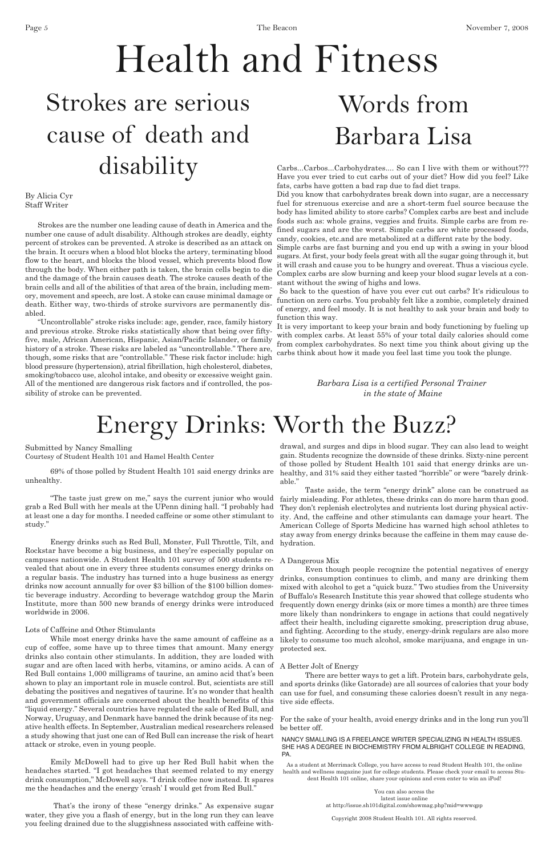Carbs...Carbos...Carbohydrates.... So can I live with them or without??? Have you ever tried to cut carbs out of your diet? How did you feel? Like fats, carbs have gotten a bad rap due to fad diet traps.

Did you know that carbohydrates break down into sugar, are a neccessary fuel for strenuous exercise and are a short-term fuel source because the body has limited ability to store carbs? Complex carbs are best and include foods such as: whole grains, veggies and fruits. Simple carbs are from refined sugars and are the worst. Simple carbs are white processed foods, candy, cookies, etc.and are metabolized at a differnt rate by the body.

Simple carbs are fast burning and you end up with a swing in your blood sugars. At first, your body feels great with all the sugar going through it, but it will crash and cause you to be hungry and overeat. Thus a viscious cycle. Complex carbs are slow burning and keep your blood sugar levels at a constant without the swing of highs and lows.

So back to the question of have you ever cut out carbs? It's ridiculous to function on zero carbs. You probably felt like a zombie, completely drained of energy, and feel moody. It is not healthy to ask your brain and body to function this way.

It is very important to keep your brain and body functioning by fueling up with complex carbs. At least 55% of your total daily calories should come from complex carbohydrates. So next time you think about giving up the carbs think about how it made you feel last time you took the plunge.

> *Barbara Lisa is a certified Personal Trainer in the state of Maine*

Strokes are the number one leading cause of death in America and the number one cause of adult disability. Although strokes are deadly, eighty percent of strokes can be prevented. A stroke is described as an attack on the brain. It occurs when a blood blot blocks the artery, terminating blood flow to the heart, and blocks the blood vessel, which prevents blood flow through the body. When either path is taken, the brain cells begin to die and the damage of the brain causes death. The stroke causes death of the brain cells and all of the abilities of that area of the brain, including memory, movement and speech, are lost. A stoke can cause minimal damage or death. Either way, two-thirds of stroke survivors are permanently disabled.

# Health and Fitness Strokes are serious cause of death and disability

"Uncontrollable" stroke risks include: age, gender, race, family history and previous stroke. Stroke risks statistically show that being over fiftyfive, male, African American, Hispanic, Asian/Pacific Islander, or family history of a stroke. These risks are labeled as "uncontrollable." There are, though, some risks that are "controllable." These risk factor include: high blood pressure (hypertension), atrial fibrillation, high cholesterol, diabetes, smoking/tobacco use, alcohol intake, and obesity or excessive weight gain. All of the mentioned are dangerous risk factors and if controlled, the possibility of stroke can be prevented.

By Alicia Cyr Staff Writer

69% of those polled by Student Health 101 said energy drinks are unhealthy.

"The taste just grew on me," says the current junior who would grab a Red Bull with her meals at the UPenn dining hall. "I probably had at least one a day for months. I needed caffeine or some other stimulant to study."

> While most energy drinks have the same amount of caffeine as a likely to consume too much alcohol, smoke marijuana, and engage in un-Even though people recognize the potential negatives of energy drinks, consumption continues to climb, and many are drinking them mixed with alcohol to get a "quick buzz." Two studies from the University of Buffalo's Research Institute this year showed that college students who frequently down energy drinks (six or more times a month) are three times more likely than nondrinkers to engage in actions that could negatively affect their health, including cigarette smoking, prescription drug abuse, and fighting. According to the study, energy-drink regulars are also more protected sex.

Energy drinks such as Red Bull, Monster, Full Throttle, Tilt, and Rockstar have become a big business, and they're especially popular on campuses nationwide. A Student Health 101 survey of 500 students revealed that about one in every three students consumes energy drinks on a regular basis. The industry has turned into a huge business as energy drinks now account annually for over \$3 billion of the \$100 billion domestic beverage industry. According to beverage watchdog group the Marin Institute, more than 500 new brands of energy drinks were introduced worldwide in 2006.

Lots of Caffeine and Other Stimulants

cup of coffee, some have up to three times that amount. Many energy drinks also contain other stimulants. In addition, they are loaded with sugar and are often laced with herbs, vitamins, or amino acids. A can of Red Bull contains 1,000 milligrams of taurine, an amino acid that's been shown to play an important role in muscle control. But, scientists are still debating the positives and negatives of taurine. It's no wonder that health and government officials are concerned about the health benefits of this "liquid energy." Several countries have regulated the sale of Red Bull, and Norway, Uruguay, and Denmark have banned the drink because of its negative health effects. In September, Australian medical researchers released a study showing that just one can of Red Bull can increase the risk of heart attack or stroke, even in young people.

Emily McDowell had to give up her Red Bull habit when the headaches started. "I got headaches that seemed related to my energy drink consumption," McDowell says. "I drink coffee now instead. It spares me the headaches and the energy 'crash' I would get from Red Bull."

That's the irony of these "energy drinks." As expensive sugar water, they give you a flash of energy, but in the long run they can leave you feeling drained due to the sluggishness associated with caffeine with-

drawal, and surges and dips in blood sugar. They can also lead to weight gain. Students recognize the downside of these drinks. Sixty-nine percent of those polled by Student Health 101 said that energy drinks are unhealthy, and 31% said they either tasted "horrible" or were "barely drinkable."

Taste aside, the term "energy drink" alone can be construed as fairly misleading. For athletes, these drinks can do more harm than good. They don't replenish electrolytes and nutrients lost during physical activity. And, the caffeine and other stimulants can damage your heart. The American College of Sports Medicine has warned high school athletes to stay away from energy drinks because the caffeine in them may cause dehydration.

### A Dangerous Mix

A Better Jolt of Energy

There are better ways to get a lift. Protein bars, carbohydrate gels, and sports drinks (like Gatorade) are all sources of calories that your body can use for fuel, and consuming these calories doesn't result in any negative side effects.

For the sake of your health, avoid energy drinks and in the long run you'll be better off.

As a student at Merrimack College, you have access to read Student Health 101, the online health and wellness magazine just for college students. Please check your email to access Student Health 101 online, share your opinions and even enter to win an iPod!

> You can also access the latest issue online at http://issue.sh101digital.com/showmag.php?mid=wwwqpp

Copyright 2008 Student Health 101. All rights reserved.

## Energy Drinks: Worth the Buzz?

#### NANCY SMALLING IS A FREELANCE WRITER SPECIALIZING IN HEALTH ISSUES. SHE HAS A DEGREE IN BIOCHEMISTRY FROM ALBRIGHT COLLEGE IN READING, PA.

Submitted by Nancy Smalling Courtesy of Student Health 101 and Hamel Health Center

# Words from Barbara Lisa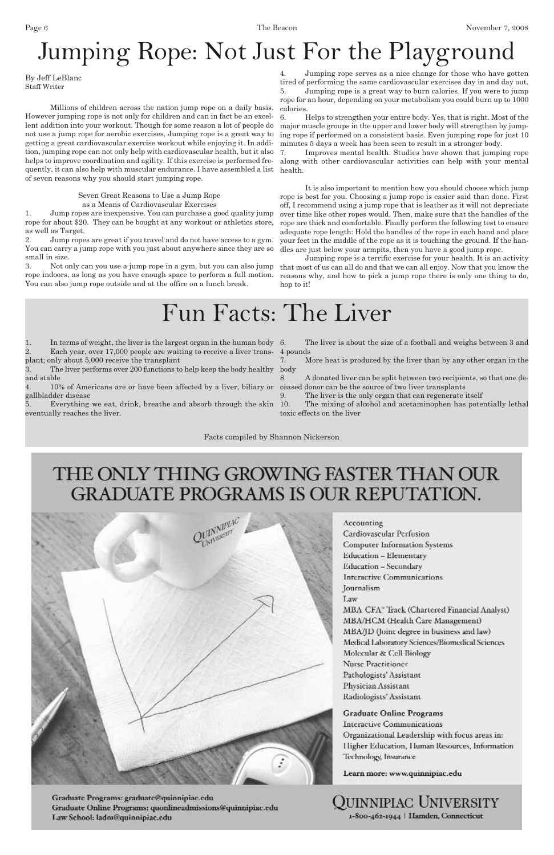Millions of children across the nation jump rope on a daily basis. However jumping rope is not only for children and can in fact be an excellent addition into your workout. Though for some reason a lot of people do not use a jump rope for aerobic exercises, Jumping rope is a great way to getting a great cardiovascular exercise workout while enjoying it. In addition, jumping rope can not only help with cardiovascular health, but it also helps to improve coordination and agility. If this exercise is performed frequently, it can also help with muscular endurance. I have assembled a list health. of seven reasons why you should start jumping rope.

> Seven Great Reasons to Use a Jump Rope as a Means of Cardiovascular Exercises

1. Jump ropes are inexpensive. You can purchase a good quality jump rope for about \$20. They can be bought at any workout or athletics store, as well as Target.

2. Jump ropes are great if you travel and do not have access to a gym. You can carry a jump rope with you just about anywhere since they are so small in size.

3. Not only can you use a jump rope in a gym, but you can also jump rope indoors, as long as you have enough space to perform a full motion. You can also jump rope outside and at the office on a lunch break.

4. Jumping rope serves as a nice change for those who have gotten tired of performing the same cardiovascular exercises day in and day out.

5. Jumping rope is a great way to burn calories. If you were to jump rope for an hour, depending on your metabolism you could burn up to 1000 calories.

1. In terms of weight, the liver is the largest organ in the human body 6. 2. Each year, over 17,000 people are waiting to receive a liver trans-4 pounds

6. Helps to strengthen your entire body. Yes, that is right. Most of the major muscle groups in the upper and lower body will strengthen by jumping rope if performed on a consistent basis. Even jumping rope for just 10 minutes 5 days a week has been seen to result in a stronger body.

The mixing of alcohol and acetaminophen has potentially lethal toxic effects on the liver

7. Improves mental health. Studies have shown that jumping rope along with other cardiovascular activities can help with your mental

It is also important to mention how you should choose which jump rope is best for you. Choosing a jump rope is easier said than done. First off, I recommend using a jump rope that is leather as it will not depreciate over time like other ropes would. Then, make sure that the handles of the rope are thick and comfortable. Finally perform the following test to ensure adequate rope length: Hold the handles of the rope in each hand and place your feet in the middle of the rope as it is touching the ground. If the handles are just below your armpits, then you have a good jump rope.

Jumping rope is a terrific exercise for your health. It is an activity that most of us can all do and that we can all enjoy. Now that you know the reasons why, and how to pick a jump rope there is only one thing to do, hop to it!

# Jumping Rope: Not Just For the Playground

By Jeff LeBlanc Staff Writer

and stable

4. 10% of Americans are or have been affected by a liver, biliary or ceased donor can be the source of two liver transplants gallbladder disease

plant; only about 5,000 receive the transplant 3. The liver performs over 200 functions to help keep the body healthy body

5. Everything we eat, drink, breathe and absorb through the skin eventually reaches the liver.

The liver is about the size of a football and weighs between 3 and

7. More heat is produced by the liver than by any other organ in the

8. A donated liver can be split between two recipients, so that one de-

9. The liver is the only organ that can regenerate itself

## Fun Facts: The Liver

Facts compiled by Shannon Nickerson

## THE ONLY THING GROWING FASTER THAN OUR GRADUATE PROGRAMS IS OUR REPUTATION.



Accounting Cardiovascular Perfusion **Computer Information Systems** Education - Elementary Education - Secondary Interactive Communications Journalism Law MBA CFA" Track (Chartered Financial Analyst) MBA/HCM (Health Care Management)

Graduate Programs: graduate@quinnipiac.edu Graduate Online Programs: quonlineadmissions@quinnipiac.edu Law School: ladm@quinnipiac.edu

MBA/JD (Joint degree in business and law) Medical Laboratory Sciences/Biomedical Sciences Molecular & Cell Biology Nurse Practitioner Pathologists' Assistant Physician Assistant Radiologists' Assistant

**Graduate Online Programs Interactive Communications** Organizational Leadership with focus areas in: Higher Education, Human Resources, Information Technology, Insurance

Learn more: www.quinnipiac.edu

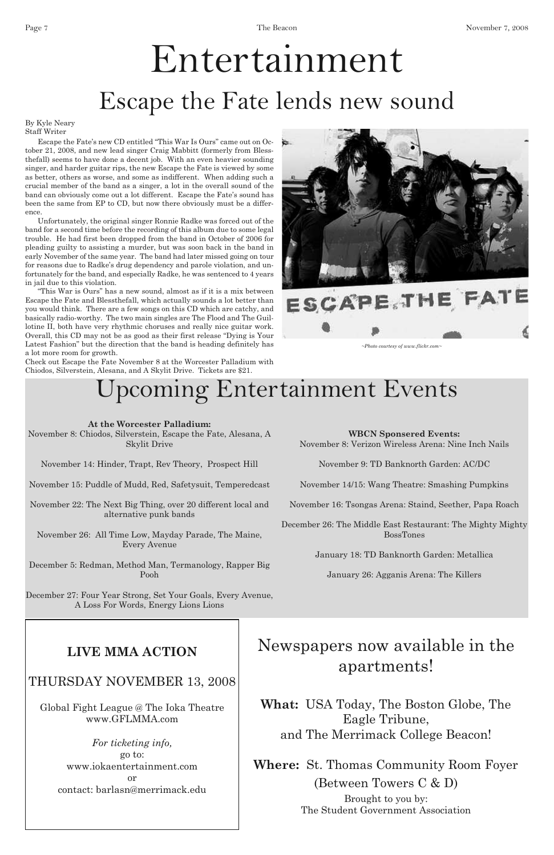Page 7 November 7, 2008

## **At the Worcester Palladium:**

November 8: Chiodos, Silverstein, Escape the Fate, Alesana, A Skylit Drive

November 14: Hinder, Trapt, Rev Theory, Prospect Hill

November 15: Puddle of Mudd, Red, Safetysuit, Temperedcast

November 22: The Next Big Thing, over 20 different local and alternative punk bands

November 26: All Time Low, Mayday Parade, The Maine, Every Avenue

December 5: Redman, Method Man, Termanology, Rapper Big Pooh

December 27: Four Year Strong, Set Your Goals, Every Avenue, A Loss For Words, Energy Lions Lions

## **WBCN Sponsered Events:**

November 8: Verizon Wireless Arena: Nine Inch Nails

November 9: TD Banknorth Garden: AC/DC

November 14/15: Wang Theatre: Smashing Pumpkins

November 16: Tsongas Arena: Staind, Seether, Papa Roach

December 26: The Middle East Restaurant: The Mighty Mighty BossTones

January 18: TD Banknorth Garden: Metallica

January 26: Agganis Arena: The Killers

# Entertainment Escape the Fate lends new sound

Escape the Fate's new CD entitled "This War Is Ours" came out on October 21, 2008, and new lead singer Craig Mabbitt (formerly from Blessthefall) seems to have done a decent job. With an even heavier sounding singer, and harder guitar rips, the new Escape the Fate is viewed by some as better, others as worse, and some as indifferent. When adding such a crucial member of the band as a singer, a lot in the overall sound of the band can obviously come out a lot different. Escape the Fate's sound has been the same from EP to CD, but now there obviously must be a difference.

Unfortunately, the original singer Ronnie Radke was forced out of the band for a second time before the recording of this album due to some legal trouble. He had first been dropped from the band in October of 2006 for pleading guilty to assisting a murder, but was soon back in the band in early November of the same year. The band had later missed going on tour for reasons due to Radke's drug dependency and parole violation, and unfortunately for the band, and especially Radke, he was sentenced to 4 years in jail due to this violation.

"This War is Ours" has a new sound, almost as if it is a mix between Escape the Fate and Blessthefall, which actually sounds a lot better than you would think. There are a few songs on this CD which are catchy, and basically radio-worthy. The two main singles are The Flood and The Guillotine II, both have very rhythmic choruses and really nice guitar work. Overall, this CD may not be as good as their first release "Dying is Your Latest Fashion" but the direction that the band is heading definitely has a lot more room for growth.

Check out Escape the Fate November 8 at the Worcester Palladium with Chiodos, Silverstein, Alesana, and A Skylit Drive. Tickets are \$21.



# ESCAPE THE FATE

# Upcoming Entertainment Events

By Kyle Neary Staff Writer

*~Photo courtesy of www.flickr.com~*

## **LIVE MMA ACTION**

## THURSDAY NOVEMBER 13, 2008

Global Fight League @ The Ioka Theatre www.GFLMMA.com

> *For ticketing info,* go to: www.iokaentertainment.com or contact: barlasn@merrimack.edu

Newspapers now available in the apartments!

**What:** USA Today, The Boston Globe, The Eagle Tribune, and The Merrimack College Beacon!

**Where:** St. Thomas Community Room Foyer (Between Towers C & D) Brought to you by: The Student Government Association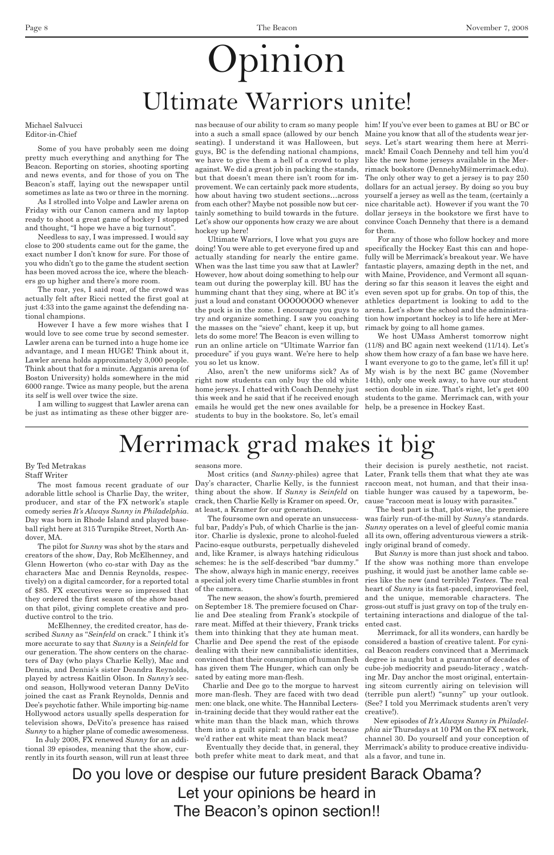Some of you have probably seen me doing pretty much everything and anything for The Beacon. Reporting on stories, shooting sporting and news events, and for those of you on The Beacon's staff, laying out the newspaper until sometimes as late as two or three in the morning.

As I strolled into Volpe and Lawler arena on Friday with our Canon camera and my laptop ready to shoot a great game of hockey I stopped and thought, "I hope we have a big turnout".

Needless to say, I was impressed. I would say close to 200 students came out for the game, the exact number I don't know for sure. For those of you who didn't go to the game the student section has been moved across the ice, where the bleachers go up higher and there's more room.

The roar, yes, I said roar, of the crowd was actually felt after Ricci netted the first goal at just 4:33 into the game against the defending national champions.

However I have a few more wishes that I would love to see come true by second semester. Lawler arena can be turned into a huge home ice advantage, and I mean HUGE! Think about it, Lawler arena holds approximately 3,000 people. Think about that for a minute. Agganis arena (of Boston University) holds somewhere in the mid 6000 range. Twice as many people, but the arena its self is well over twice the size.

I am willing to suggest that Lawler arena can be just as intimating as these other bigger are-

nas because of our ability to cram so many people him! If you've ever been to games at BU or BC or into a such a small space (allowed by our bench Maine you know that all of the students wear jerseating). I understand it was Halloween, but seys. Let's start wearing them here at Merriguys, BC is the defending national champions, mack! Email Coach Dennehy and tell him you'd we have to give them a hell of a crowd to play like the new home jerseys available in the Meragainst. We did a great job in packing the stands, rimack bookstore (DennehyM@merrimack.edu). but that doesn't mean there isn't room for im-The only other way to get a jersey is to pay 250 provement. We can certainly pack more students, dollars for an actual jersey. By doing so you buy how about having two student sections…across yourself a jersey as well as the team, (certainly a from each other? Maybe not possible now but cer-nice charitable act). However if you want the 70 tainly something to build towards in the future. Let's show our opponents how crazy we are about hockey up here!

Ultimate Warriors, I love what you guys are doing! You were able to get everyone fired up and actually standing for nearly the entire game. When was the last time you saw that at Lawler? However, how about doing something to help our team out during the powerplay kill. BU has the humming chant that they sing, where at BC it's just a loud and constant OOOOOOOO whenever the puck is in the zone. I encourage you guys to try and organize something. I saw you coaching tion how important hockey is to life here at Merthe masses on the "sieve" chant, keep it up, but rimack by going to all home games. lets do some more! The Beacon is even willing to run an online article on "Ultimate Warrior fan (11/8) and BC again next weekend (11/14). Let's procedure" if you guys want. We're here to help you so let us know.

right now students can only buy the old white 14th), only one week away, to have our student home jerseys. I chatted with Coach Dennehy just this week and he said that if he received enough emails he would get the new ones available for help, be a presence in Hockey East. students to buy in the bookstore. So, let's email

Day's character, Charlie Kelly, is the funniest raccoon meat, not human, and that their insathing about the show. If *Sunny* is *Seinfeld* on tiable hunger was caused by a tapeworm, becrack, then Charlie Kelly is Kramer on speed. Or, at least, a Kramer for our generation.

dollar jerseys in the bookstore we first have to convince Coach Dennehy that there is a demand for them.

Also, aren't the new uniforms sick? As of My wish is by the next BC game (November We host UMass Amherst tomorrow night show them how crazy of a fan base we have here. I want everyone to go to the game, let's fill it up! section double in size. That's right, let's get 400 students to the game. Merrimack can, with your

For any of those who follow hockey and more specifically the Hockey East this can and hopefully will be Merrimack's breakout year. We have fantastic players, amazing depth in the net, and with Maine, Providence, and Vermont all squandering so far this season it leaves the eight and even seven spot up for grabs. On top of this, the athletics department is looking to add to the arena. Let's show the school and the administra-

Most critics (and *Sunny*-philes) agree that Later, Frank tells them that what they ate was their decision is purely aesthetic, not racist. cause "raccoon meat is lousy with parasites."

The most famous recent graduate of our adorable little school is Charlie Day, the writer, producer, and star of the FX network's staple comedy series *It's Always Sunny in Philadelphia*. Day was born in Rhode Island and played baseball right here at 315 Turnpike Street, North Andover, MA.

The pilot for *Sunny* was shot by the stars and creators of the show, Day, Rob McElhenney, and Glenn Howerton (who co-star with Day as the characters Mac and Dennis Reynolds, respectively) on a digital camcorder, for a reported total of \$85. FX executives were so impressed that they ordered the first season of the show based on that pilot, giving complete creative and productive control to the trio.

McElhenney, the credited creator, has de-

scribed *Sunny* as "*Seinfeld* on crack." I think it's more accurate to say that *Sunny* is a *Seinfeld* for our generation. The show centers on the characters of Day (who plays Charlie Kelly), Mac and Dennis, and Dennis's sister Deandra Reynolds, played by actress Kaitlin Olson. In *Sunny's* second season, Hollywood veteran Danny DeVito joined the cast as Frank Reynolds, Dennis and Dee's psychotic father. While importing big-name Hollywood actors usually spells desperation for television shows, DeVito's presence has raised *Sunny* to a higher plane of comedic awesomeness.

seasons more.

The foursome own and operate an unsuccessful bar, Paddy's Pub, of which Charlie is the janitor. Charlie is dyslexic, prone to alcohol-fueled Pacino-esque outbursts, perpetually disheveled and, like Kramer, is always hatching ridiculous schemes: he is the self-described "bar dummy." The show, always high in manic energy, receives a special jolt every time Charlie stumbles in front of the camera.

# Opinion Ultimate Warriors unite!

on September 18. The premiere focused on Charlie and Dee stealing from Frank's stockpile of tertaining interactions and dialogue of the talrare meat. Miffed at their thievery, Frank tricks ented cast. them into thinking that they ate human meat. Charlie and Dee spend the rest of the episode dealing with their new cannibalistic identities, convinced that their consumption of human flesh has given them The Hunger, which can only be sated by eating more man-flesh. Charlie and Dee go to the morgue to harvest more man-flesh. They are faced with two dead men: one black, one white. The Hannibal Lectersin-training decide that they would rather eat the white man than the black man, which throws them into a guilt spiral: are we racist because we'd rather eat white meat than black meat?

In July 2008, FX renewed *Sunny* for an additional 39 episodes, meaning that the show, currently in its fourth season, will run at least three both prefer white meat to dark meat, and that als a favor, and tune in.

The new season, the show's fourth, premiered and the unique, memorable characters. The Eventually they decide that, in general, they Merrimack's ability to produce creative individu-But *Sunny* is more than just shock and taboo. If the show was nothing more than envelope pushing, it would just be another lame cable series like the new (and terrible) *Testees*. The real heart of *Sunny* is its fast-paced, improvised feel, gross-out stuff is just gravy on top of the truly en-Merrimack, for all its wonders, can hardly be considered a bastion of creative talent. For cynical Beacon readers convinced that a Merrimack degree is naught but a guarantor of decades of cube-job mediocrity and pseudo-literacy , watching Mr. Day anchor the most original, entertaining sitcom currently airing on television will (terrible pun alert!) "sunny" up your outlook. (See? I told you Merrimack students aren't very creative!). New episodes of *It's Always Sunny in Philadelphia* air Thursdays at 10 PM on the FX network, channel 30. Do yourself and your conception of

The best part is that, plot-wise, the premiere was fairly run-of-the-mill by *Sunny*'s standards. *Sunny* operates on a level of gleeful comic mania all its own, offering adventurous viewers a strikingly original brand of comedy.

# Merrimack grad makes it big

### By Ted Metrakas Staff Writer

Do you love or despise our future president Barack Obama? Let your opinions be heard in The Beacon's opinon section!!

Michael Salvucci Editor-in-Chief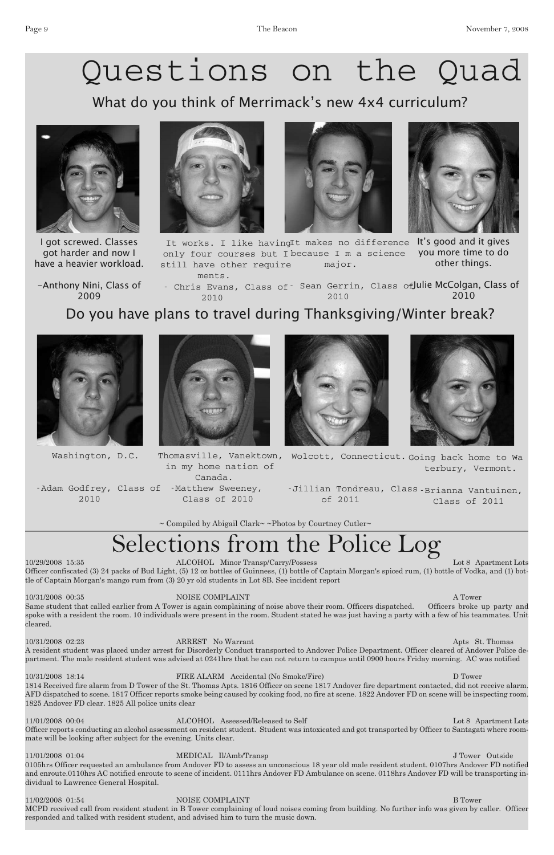10/29/2008 15:35 ALCOHOL Minor Transp/Carry/Possess Lot 8 Apartment Lots Officer confiscated (3) 24 packs of Bud Light, (5) 12 oz bottles of Guinness, (1) bottle of Captain Morgan's spiced rum, (1) bottle of Vodka, and (1) bottle of Captain Morgan's mango rum from (3) 20 yr old students in Lot 8B. See incident report

10/31/2008 00:35 NOISE COMPLAINT A Tower Same student that called earlier from A Tower is again complaining of noise above their room. Officers dispatched. Officers broke up party and spoke with a resident the room. 10 individuals were present in the room. Student stated he was just having a party with a few of his teammates. Unit cleared.

#### 10/31/2008 02:23 ARREST No Warrant Apts St. Thomas

11/01/2008 00:04 ALCOHOL Assessed/Released to Self Lot 8 Apartment Lots Officer reports conducting an alcohol assessment on resident student. Student was intoxicated and got transported by Officer to Santagati where roommate will be looking after subject for the evening. Units clear.

A resident student was placed under arrest for Disorderly Conduct transported to Andover Police Department. Officer cleared of Andover Police department. The male resident student was advised at 0241hrs that he can not return to campus until 0900 hours Friday morning. AC was notified

11/02/2008 01:54 NOISE COMPLAINT B Tower MCPD received call from resident student in B Tower complaining of loud noises coming from building. No further info was given by caller. Officer responded and talked with resident student, and advised him to turn the music down.

10/31/2008 18:14 FIRE ALARM Accidental (No Smoke/Fire) D Tower 1814 Received fire alarm from D Tower of the St. Thomas Apts. 1816 Officer on scene 1817 Andover fire department contacted, did not receive alarm. AFD dispatched to scene. 1817 Officer reports smoke being caused by cooking food, no fire at scene. 1822 Andover FD on scene will be inspecting room. 1825 Andover FD clear. 1825 All police units clear

It works. I like havingIt makes no difference It's good and it gives only four courses but I because I m a science you more time to do still have other require ments. major. other things.

- Chris Evans, Class of - Sean Gerrin, Class of Julie McColgan, Class of 2010 2010 2010

Canada. -Adam Godfrey, Class of -Matthew Sweeney,

Thomasville, Vanektown, Wolcott, Connecticut. Going back home to Wa terbury, Vermont.

11/01/2008 01:04 MEDICAL Il/Amb/Transp J Tower Outside 0105hrs Officer requested an ambulance from Andover FD to assess an unconscious 18 year old male resident student. 0107hrs Andover FD notified and enroute.0110hrs AC notified enroute to scene of incident. 0111hrs Andover FD Ambulance on scene. 0118hrs Andover FD will be transporting individual to Lawrence General Hospital.

# Selections from the Police Log

# Questions on the Quad

What do you think of Merrimack's new 4x4 curriculum?



I got screwed. Classes got harder and now I have a heavier workload.







-Anthony Nini, Class of 2009

Do you have plans to travel during Thanksgiving/Winter break?

in my home nation of

Class of 2010





-Jillian Tondreau, Class -Brianna Vantuinen, of 2011

Class of 2011

 $\sim$  Compiled by Abigail Clark $\sim$  ~Photos by Courtney Cutler $\sim$ 



Washington, D.C.

2010

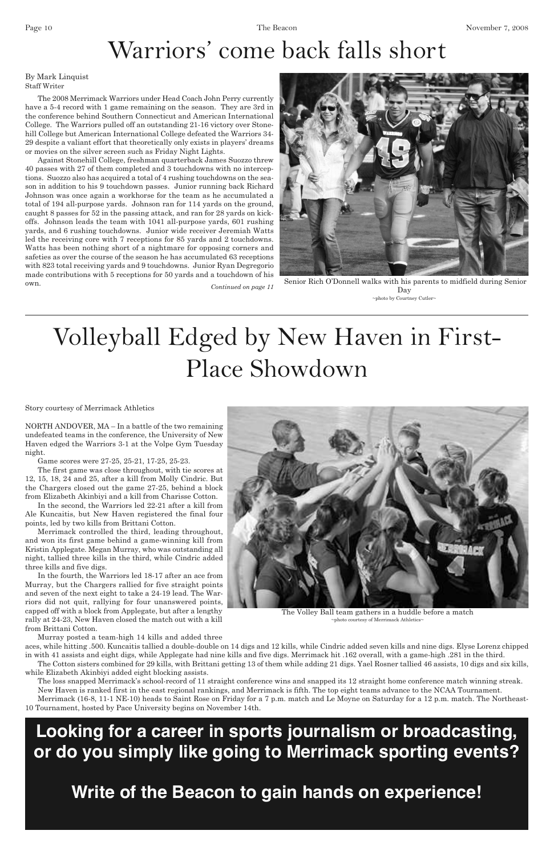NORTH ANDOVER, MA – In a battle of the two remaining undefeated teams in the conference, the University of New Haven edged the Warriors 3-1 at the Volpe Gym Tuesday night.

Game scores were 27-25, 25-21, 17-25, 25-23.

The first game was close throughout, with tie scores at 12, 15, 18, 24 and 25, after a kill from Molly Cindric. But the Chargers closed out the game 27-25, behind a block from Elizabeth Akinbiyi and a kill from Charisse Cotton.

In the second, the Warriors led 22-21 after a kill from Ale Kuncaitis, but New Haven registered the final four points, led by two kills from Brittani Cotton.

Merrimack controlled the third, leading throughout, and won its first game behind a game-winning kill from Kristin Applegate. Megan Murray, who was outstanding all night, tallied three kills in the third, while Cindric added three kills and five digs.

In the fourth, the Warriors led 18-17 after an ace from Murray, but the Chargers rallied for five straight points and seven of the next eight to take a 24-19 lead. The Warriors did not quit, rallying for four unanswered points, capped off with a block from Applegate, but after a lengthy rally at 24-23, New Haven closed the match out with a kill

from Brittani Cotton.

Murray posted a team-high 14 kills and added three

aces, while hitting .500. Kuncaitis tallied a double-double on 14 digs and 12 kills, while Cindric added seven kills and nine digs. Elyse Lorenz chipped in with 41 assists and eight digs, while Applegate had nine kills and five digs. Merrimack hit .162 overall, with a game-high .281 in the third.

The Cotton sisters combined for 29 kills, with Brittani getting 13 of them while adding 21 digs. Yael Rosner tallied 46 assists, 10 digs and six kills, while Elizabeth Akinbiyi added eight blocking assists.

The loss snapped Merrimack's school-record of 11 straight conference wins and snapped its 12 straight home conference match winning streak. New Haven is ranked first in the east regional rankings, and Merrimack is fifth. The top eight teams advance to the NCAA Tournament.



The Volley Ball team gathers in a huddle before a match  $~\sim$ photo courtesy of Merrimack Athletics $\sim$ 



Senior Rich O'Donnell walks with his parents to midfield during Senior Day  $\sim$ photo by Courtney Cutler $\sim$ 

Merrimack (16-8, 11-1 NE-10) heads to Saint Rose on Friday for a 7 p.m. match and Le Moyne on Saturday for a 12 p.m. match. The Northeast-10 Tournament, hosted by Pace University begins on November 14th.

The 2008 Merrimack Warriors under Head Coach John Perry currently have a 5-4 record with 1 game remaining on the season. They are 3rd in the conference behind Southern Connecticut and American International College. The Warriors pulled off an outstanding 21-16 victory over Stonehill College but American International College defeated the Warriors 34- 29 despite a valiant effort that theoretically only exists in players' dreams or movies on the silver screen such as Friday Night Lights.

Against Stonehill College, freshman quarterback James Suozzo threw 40 passes with 27 of them completed and 3 touchdowns with no interceptions. Suozzo also has acquired a total of 4 rushing touchdowns on the season in addition to his 9 touchdown passes. Junior running back Richard Johnson was once again a workhorse for the team as he accumulated a total of 194 all-purpose yards. Johnson ran for 114 yards on the ground, caught 8 passes for 52 in the passing attack, and ran for 28 yards on kickoffs. Johnson leads the team with 1041 all-purpose yards, 601 rushing yards, and 6 rushing touchdowns. Junior wide receiver Jeremiah Watts led the receiving core with 7 receptions for 85 yards and 2 touchdowns. Watts has been nothing short of a nightmare for opposing corners and safeties as over the course of the season he has accumulated 63 receptions with 823 total receiving yards and 9 touchdowns. Junior Ryan Degregorio made contributions with 5 receptions for 50 yards and a touchdown of his own.

# Warriors ' come back falls short

### By Mark Linquist Staff Writer

*Continued on page 11*

# Volleyball Edged by New Haven in First-Place Showdown

Story courtesy of Merrimack Athletics

## **Looking for a career in sports journalism or broadcasting, or do you simply like going to Merrimack sporting events?**

## **Write of the Beacon to gain hands on experience!**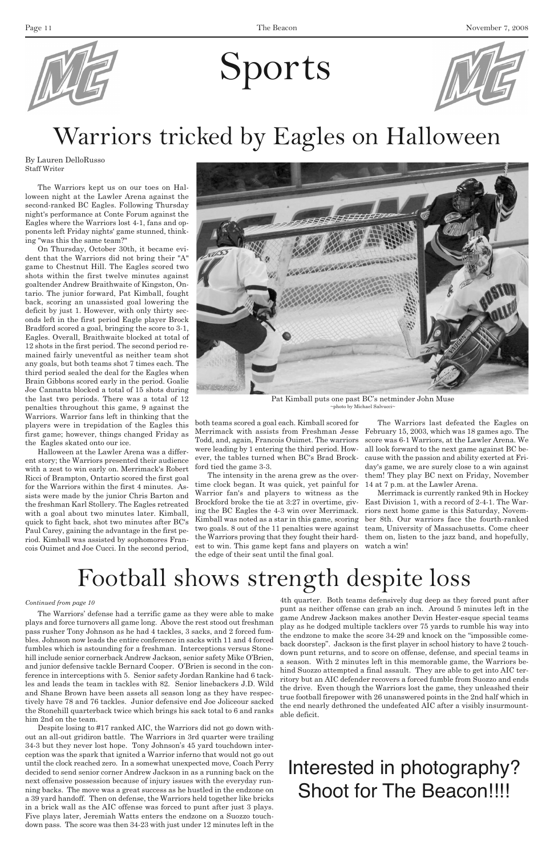

# Sports



The Warriors kept us on our toes on Halloween night at the Lawler Arena against the second-ranked BC Eagles. Following Thursday night's performance at Conte Forum against the Eagles where the Warriors lost 4-1, fans and opponents left Friday nights' game stunned, thinking "was this the same team?"

On Thursday, October 30th, it became evident that the Warriors did not bring their "A" game to Chestnut Hill. The Eagles scored two shots within the first twelve minutes against goaltender Andrew Braithwaite of Kingston, Ontario. The junior forward, Pat Kimball, fought back, scoring an unassisted goal lowering the deficit by just 1. However, with only thirty seconds left in the first period Eagle player Brock Bradford scored a goal, bringing the score to 3-1, Eagles. Overall, Braithwaite blocked at total of 12 shots in the first period. The second period remained fairly uneventful as neither team shot any goals, but both teams shot 7 times each. The third period sealed the deal for the Eagles when Brain Gibbons scored early in the period. Goalie Joe Cannatta blocked a total of 15 shots during the last two periods. There was a total of 12 penalties throughout this game, 9 against the Warriors. Warrior fans left in thinking that the players were in trepidation of the Eagles this first game; however, things changed Friday as the Eagles skated onto our ice.

Halloween at the Lawler Arena was a different story; the Warriors presented their audience with a zest to win early on. Merrimack's Robert Ricci of Brampton, Ontartio scored the first goal for the Warriors within the first 4 minutes. Assists were made by the junior Chris Barton and the freshman Karl Stollery. The Eagles retreated with a goal about two minutes later. Kimball, quick to fight back, shot two minutes after BC's Paul Carey, gaining the advantage in the first period. Kimball was assisted by sophomores Francois Ouimet and Joe Cucci. In the second period,

both teams scored a goal each. Kimball scored for Merrimack with assists from Freshman Jesse Todd, and, again, Francois Ouimet. The warriors were leading by 1 entering the third period. However, the tables turned when BC's Brad Brockford tied the game 3-3.

The intensity in the arena grew as the overtime clock began. It was quick, yet painful for Warrior fan's and players to witness as the Brockford broke the tie at 3:27 in overtime, giving the BC Eagles the 4-3 win over Merrimack. Kimball was noted as a star in this game, scoring est to win. This game kept fans and players on watch a win! the edge of their seat until the final goal.

two goals. 8 out of the 11 penalties were against team, University of Massachusetts. Come cheer the Warriors proving that they fought their hard-them on, listen to the jazz band, and hopefully, Merrimack is currently ranked 9th in Hockey East Division 1, with a record of 2-4-1. The Warriors next home game is this Saturday, November 8th. Our warriors face the fourth-ranked

The Warriors last defeated the Eagles on February 15, 2003, which was 18 games ago. The score was 6-1 Warriors, at the Lawler Arena. We all look forward to the next game against BC because with the passion and ability exerted at Friday's game, we are surely close to a win against them! They play BC next on Friday, November 14 at 7 p.m. at the Lawler Arena.

# Warriors tricked by Eagles on Halloween

By Lauren DelloRusso Staff Writer



Pat Kimball puts one past BC's netminder John Muse ~photo by Michael Salvucci~

The Warriors' defense had a terrific game as they were able to make plays and force turnovers all game long. Above the rest stood out freshman

pass rusher Tony Johnson as he had 4 tackles, 3 sacks, and 2 forced fumbles. Johnson now leads the entire conference in sacks with 11 and 4 forced fumbles which is astounding for a freshman. Interceptions versus Stonehill include senior cornerback Andrew Jackson, senior safety Mike O'Brien, and junior defensive tackle Bernard Cooper. O'Brien is second in the conference in interceptions with 5. Senior safety Jordan Rankine had 6 tackles and leads the team in tackles with 82. Senior linebackers J.D. Wild and Shane Brown have been assets all season long as they have respectively have 78 and 76 tackles. Junior defensive end Joe Joliceour sacked the Stonehill quarterback twice which brings his sack total to 6 and ranks him 2nd on the team.

Despite losing to #17 ranked AIC, the Warriors did not go down without an all-out gridiron battle. The Warriors in 3rd quarter were trailing 34-3 but they never lost hope. Tony Johnson's 45 yard touchdown interception was the spark that ignited a Warrior inferno that would not go out until the clock reached zero. In a somewhat unexpected move, Coach Perry decided to send senior corner Andrew Jackson in as a running back on the next offensive possession because of injury issues with the everyday running backs. The move was a great success as he hustled in the endzone on a 39 yard handoff. Then on defense, the Warriors held together like bricks in a brick wall as the AIC offense was forced to punt after just 3 plays. Five plays later, Jeremiah Watts enters the endzone on a Suozzo touchdown pass. The score was then 34-23 with just under 12 minutes left in the

4th quarter. Both teams defensively dug deep as they forced punt after punt as neither offense can grab an inch. Around 5 minutes left in the game Andrew Jackson makes another Devin Hester-esque special teams play as he dodged multiple tacklers over 75 yards to rumble his way into the endzone to make the score 34-29 and knock on the "impossible comeback doorstep". Jackson is the first player in school history to have 2 touchdown punt returns, and to score on offense, defense, and special teams in a season. With 2 minutes left in this memorable game, the Warriors behind Suozzo attempted a final assault. They are able to get into AIC territory but an AIC defender recovers a forced fumble from Suozzo and ends the drive. Even though the Warriors lost the game, they unleashed their true football firepower with 26 unanswered points in the 2nd half which in the end nearly dethroned the undefeated AIC after a visibly insurmountable deficit.

## Football shows strength despite loss

### *Continued from page 10*

## Interested in photography? Shoot for The Beacon!!!!